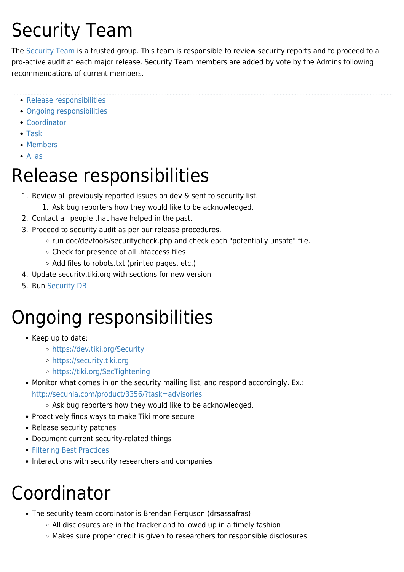# Security Team

The [Security Team](https://tiki.org/Security-Team) is a trusted group. This team is responsible to review security reports and to proceed to a pro-active audit at each major release. Security Team members are added by vote by the Admins following recommendations of current members.

- [Release responsibilities](#page--1-0)
- [Ongoing responsibilities](#page--1-0)
- [Coordinator](#page--1-0)
- [Task](#page--1-0)
- [Members](#page--1-0)
- [Alias](#page--1-0)

## Release responsibilities

- 1. Review all previously reported issues on dev & sent to security list.
	- 1. Ask bug reporters how they would like to be acknowledged.
- 2. Contact all people that have helped in the past.
- 3. Proceed to security audit as per our release procedures.
	- run doc/devtools/securitycheck.php and check each "potentially unsafe" file.
	- Check for presence of all .htaccess files
	- o Add files to robots.txt (printed pages, etc.)
- 4. Update security.tiki.org with sections for new version
- 5. Run [Security DB](http://doc.tiki.org/Security+Admin#Check_your_files)

## Ongoing responsibilities

- Keep up to date:
	- <https://dev.tiki.org/Security>
	- <https://security.tiki.org>
	- <https://tiki.org/SecTightening>
- Monitor what comes in on the security mailing list, and respond accordingly. Ex.: <http://secunia.com/product/3356/?task=advisories>
	- Ask bug reporters how they would like to be acknowledged.
- Proactively finds ways to make Tiki more secure
- Release security patches
- Document current security-related things
- [Filtering Best Practices](http://dev.tiki.org/Filtering%20Best%20Practices)
- Interactions with security researchers and companies

## Coordinator

- The security team coordinator is Brendan Ferguson (drsassafras)
	- $\circ$  All disclosures are in the tracker and followed up in a timely fashion
	- Makes sure proper credit is given to researchers for responsible disclosures